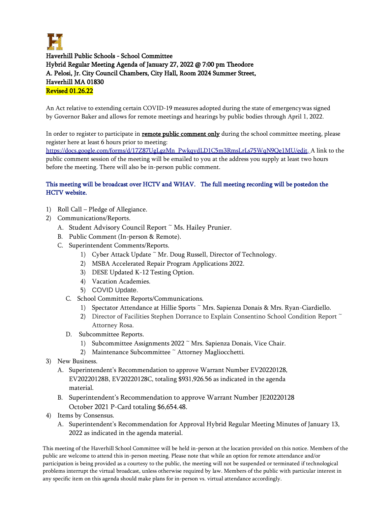

Haverhill Public Schools - School Committee Hybrid Regular Meeting Agenda of January 27, 2022 @ 7:00 pm Theodore A. Pelosi, Jr. City Council Chambers, City Hall, Room 2024 Summer Street, Haverhill MA 01830 Revised 01.26.22

An Act relative to extending certain COVID-19 measures adopted during the state of emergencywas signed by Governor Baker and allows for remote meetings and hearings by public bodies through April 1, 2022.

In order to register to participate in remote public comment only during the school committee meeting, please register here at least 6 hours prior to meeting:

[https://docs.google.com/forms/d/17Z87UgLgzMn\\_PwkqydLD1C5m3RmsLrLs75WqN9Qe1MU/edit.](https://docs.google.com/forms/d/17Z87UgLgzMn_PwkqydLD1C5m3RmsLrLs75WqN9Qe1MU/edit) A link to the public comment session of the meeting will be emailed to you at the address you supply at least two hours before the meeting. There will also be in-person public comment.

## This meeting will be broadcast over HCTV and WHAV. The full meeting recording will be posted on the HCTV website.

- 1) Roll Call Pledge of Allegiance.
- 2) Communications/Reports.
	- A. Student Advisory Council Report ~ Ms. Hailey Prunier.
	- B. Public Comment (In-person & Remote).
	- C. Superintendent Comments/Reports.
		- 1) Cyber Attack Update ~ Mr. Doug Russell, Director of Technology.
		- 2) MSBA Accelerated Repair Program Applications 2022.
		- 3) DESE Updated K-12 Testing Option.
		- 4) Vacation Academies.
		- 5) COVID Update.
		- C. School Committee Reports/Communications.
			- 1) Spectator Attendance at Hillie Sports ~ Mrs. Sapienza Donais & Mrs. Ryan-Ciardiello.
			- 2) Director of Facilities Stephen Dorrance to Explain Consentino School Condition Report ~ Attorney Rosa.
		- D. Subcommittee Reports.
			- 1) Subcommittee Assignments 2022 ~ Mrs. Sapienza Donais, Vice Chair.
			- 2) Maintenance Subcommittee ~ Attorney Magliocchetti.
- 3) New Business.
	- A. Superintendent's Recommendation to approve Warrant Number EV20220128, EV20220128B, EV20220128C, totaling \$931,926.56 as indicated in the agenda material.
	- B. Superintendent's Recommendation to approve Warrant Number JE20220128 October 2021 P-Card totaling \$6,654.48.
- 4) Items by Consensus.
	- A. Superintendent's Recommendation for Approval Hybrid Regular Meeting Minutes of January 13, 2022 as indicated in the agenda material.

This meeting of the Haverhill School Committee will be held in-person at the location provided on this notice. Members of the public are welcome to attend this in-person meeting. Please note that while an option for remote attendance and/or participation is being provided as a courtesy to the public, the meeting will not be suspended or terminated if technological problems interrupt the virtual broadcast, unless otherwise required by law. Members of the public with particular interest in any specific item on this agenda should make plans for in-person vs. virtual attendance accordingly.